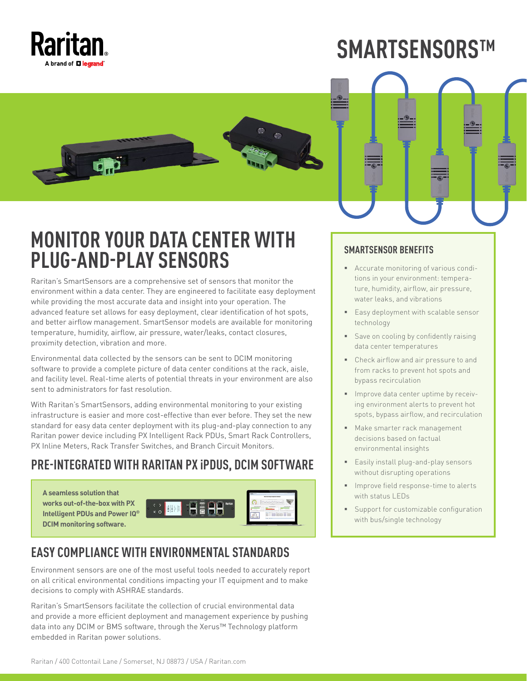

# **SMARTSENSORS™**





# **MONITOR YOUR DATA CENTER WITH PLUG-AND-PLAY SENSORS**

Raritan's SmartSensors are a comprehensive set of sensors that monitor the environment within a data center. They are engineered to facilitate easy deployment while providing the most accurate data and insight into your operation. The advanced feature set allows for easy deployment, clear identification of hot spots, and better airflow management. SmartSensor models are available for monitoring temperature, humidity, airflow, air pressure, water/leaks, contact closures, proximity detection, vibration and more.

Environmental data collected by the sensors can be sent to DCIM monitoring software to provide a complete picture of data center conditions at the rack, aisle, and facility level. Real-time alerts of potential threats in your environment are also sent to administrators for fast resolution.

With Raritan's SmartSensors, adding environmental monitoring to your existing infrastructure is easier and more cost-effective than ever before. They set the new standard for easy data center deployment with its plug-and-play connection to any Raritan power device including PX Intelligent Rack PDUs, Smart Rack Controllers, PX Inline Meters, Rack Transfer Switches, and Branch Circuit Monitors.

### **PRE-INTEGRATED WITH RARITAN PX iPDUS, DCIM SOFTWARE**

**A seamless solution that works out-of-the-box with PX Intelligent PDUs and Power IQ DCIM monitoring software.**

|                                                                                                                                | $\sim$<br><b>Book for the first of the party of the first of the con-</b><br><b>STATISTICS</b> |
|--------------------------------------------------------------------------------------------------------------------------------|------------------------------------------------------------------------------------------------|
| <b>COLOR</b><br><b>CONTRACTOR</b><br>ست<br>Raritan<br><b>Sizens</b><br>$\times$ 0<br><b>CONTRACT</b><br>المتعاد<br><b>STAR</b> | <b>Services</b><br><b>SERVICE</b><br><b><i><u>PERSONAL</u></i></b>                             |
|                                                                                                                                | it it<br><b>ATALIANS</b>                                                                       |

## **EASY COMPLIANCE WITH ENVIRONMENTAL STANDARDS**

Environment sensors are one of the most useful tools needed to accurately report on all critical environmental conditions impacting your IT equipment and to make decisions to comply with ASHRAE standards.

Raritan's SmartSensors facilitate the collection of crucial environmental data and provide a more efficient deployment and management experience by pushing data into any DCIM or BMS software, through the Xerus™ Technology platform embedded in Raritan power solutions.

#### **SMARTSENSOR BENEFITS**

- Accurate monitoring of various conditions in your environment: temperature, humidity, airflow, air pressure, water leaks, and vibrations
- **Easy deployment with scalable sensor** technology
- Save on cooling by confidently raising data center temperatures
- Check airflow and air pressure to and from racks to prevent hot spots and bypass recirculation
- **Improve data center uptime by receiv**ing environment alerts to prevent hot spots, bypass airflow, and recirculation
- Make smarter rack management decisions based on factual environmental insights
- **Easily install plug-and-play sensors** without disrupting operations
- **IMPROVE field response-time to alerts** with status LEDs
- Support for customizable configuration with bus/single technology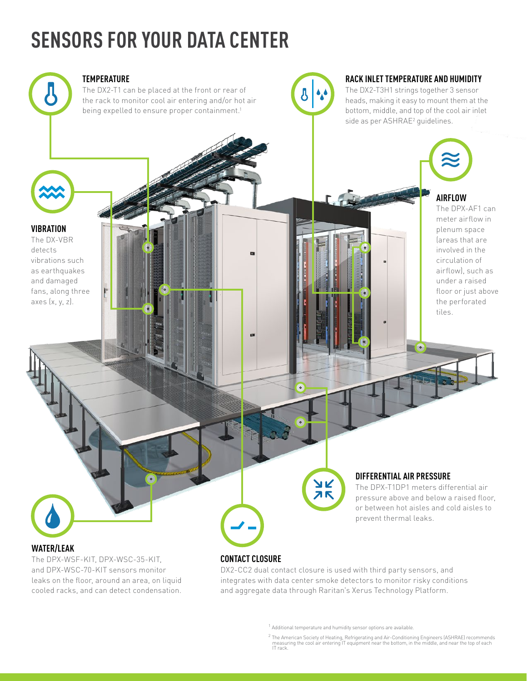# **SENSORS FOR YOUR DATA CENTER**



#### **TEMPERATURE**

The DX2-T1 can be placed at the front or rear of the rack to monitor cool air entering and/or hot air being expelled to ensure proper containment.<sup>1</sup>



#### **RACK INLET TEMPERATURE AND HUMIDITY**

The DX2-T3H1 strings together 3 sensor heads, making it easy to mount them at the bottom, middle, and top of the cool air inlet side as per ASHRAE<sup>2</sup> guidelines.

**AIRFLOW** The DPX-AF1 can

meter airflow in plenum space (areas that are involved in the circulation of airflow), such as under a raised floor or just above the perforated tiles.

**VIBRATION**

The DX-VBR detects vibrations such as earthquakes and damaged fans, along three axes (x, y, z).

# **WATER/LEAK**

The DPX-WSF-KIT, DPX-WSC-35-KIT, and DPX-WSC-70-KIT sensors monitor leaks on the floor, around an area, on liquid cooled racks, and can detect condensation.

### **CONTACT CLOSURE**

m

 $\circ$ 

DX2-CC2 dual contact closure is used with third party sensors, and integrates with data center smoke detectors to monitor risky conditions and aggregate data through Raritan's Xerus Technology Platform.

**AK**<br>AK

 $1$  Additional temperature and humidity sensor options are available.

**DIFFERENTIAL AIR PRESSURE**

prevent thermal leaks.

The DPX-T1DP1 meters differential air pressure above and below a raised floor, or between hot aisles and cold aisles to

 $\overline{\phantom{a}}$  o

<sup>2</sup> The American Society of Heating, Refrigerating and Air-Conditioning Engineers (ASHRAE) recommends measuring the cool air entering IT equipment near the bottom, in the middle, and near the top of each IT rack.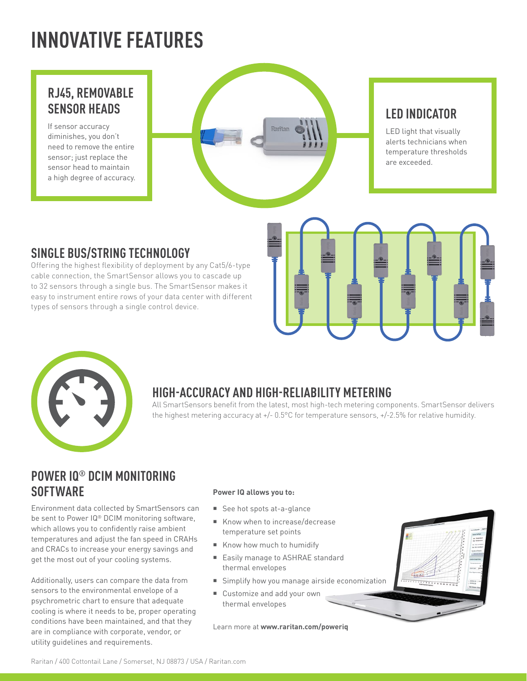# **INNOVATIVE FEATURES**

### **RJ45, REMOVABLE SENSOR HEADS**

If sensor accuracy diminishes, you don't need to remove the entire sensor; just replace the sensor head to maintain a high degree of accuracy.



## **LED INDICATOR**

LED light that visually alerts technicians when temperature thresholds are exceeded.

## **SINGLE BUS/STRING TECHNOLOGY**

Offering the highest flexibility of deployment by any Cat5/6-type cable connection, the SmartSensor allows you to cascade up to 32 sensors through a single bus. The SmartSensor makes it easy to instrument entire rows of your data center with different types of sensors through a single control device.





# **HIGH-ACCURACY AND HIGH-RELIABILITY METERING**

All SmartSensors benefit from the latest, most high-tech metering components. SmartSensor delivers the highest metering accuracy at +/- 0.5°C for temperature sensors, +/-2.5% for relative humidity.

# **POWER IQ® DCIM MONITORING SOFTWARE**

Environment data collected by SmartSensors can be sent to Power IQ® DCIM monitoring software, which allows you to confidently raise ambient temperatures and adjust the fan speed in CRAHs and CRACs to increase your energy savings and get the most out of your cooling systems.

Additionally, users can compare the data from sensors to the environmental envelope of a psychrometric chart to ensure that adequate cooling is where it needs to be, proper operating conditions have been maintained, and that they are in compliance with corporate, vendor, or utility guidelines and requirements.

#### **Power IQ allows you to:**

- See hot spots at-a-glance
- Know when to increase/decrease temperature set points
- Know how much to humidify
- Easily manage to ASHRAE standard thermal envelopes
- Simplify how you manage airside economization
- Customize and add your own thermal envelopes

Learn more at **www.raritan.com/poweriq**